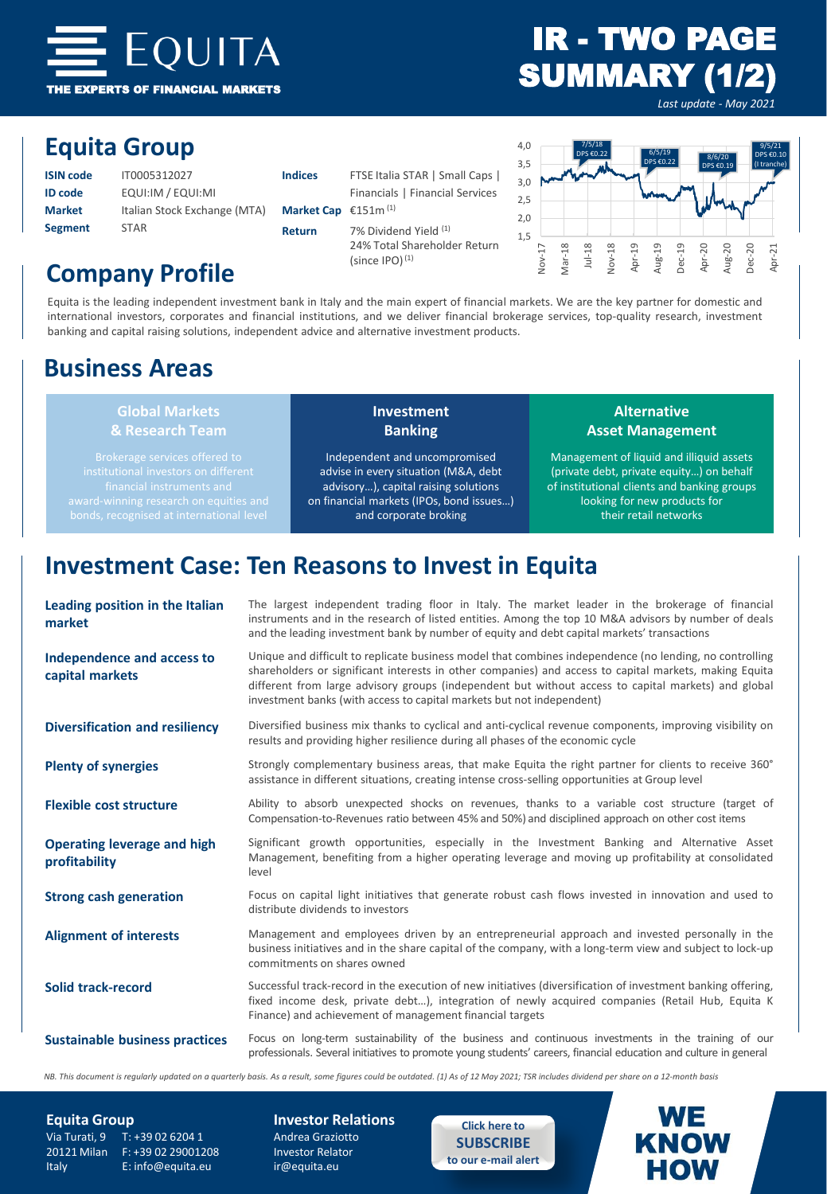

# IR - TWO PAGE SUMMARY (1/2)

*Last update - May 2021*

## **Equita Group**

| <b>ISIN code</b> | IT0005312027                 | Ir |
|------------------|------------------------------|----|
| ID code          | EQUI:IM / EQUI:MI            |    |
| <b>Market</b>    | Italian Stock Exchange (MTA) | N  |
| <b>Segment</b>   | <b>STAR</b>                  | R  |

| <b>Indices</b>           | FTSE Italia STAR   Small Caps                         |
|--------------------------|-------------------------------------------------------|
|                          | Financials   Financial Services                       |
| Market Cap $£151m^{(1)}$ |                                                       |
| Return                   | 7% Dividend Yield (1)<br>24% Total Shareholder Return |

(since  $IPO$ ) $(1)$ 



# **Company Profile**

Equita is the leading independent investment bank in Italy and the main expert of financial markets. We are the key partner for domestic and international investors, corporates and financial institutions, and we deliver financial brokerage services, top-quality research, investment banking and capital raising solutions, independent advice and alternative investment products.

## **Business Areas**

# **Global Markets**

**Investment Banking**

Independent and uncompromised advise in every situation (M&A, debt advisory…), capital raising solutions on financial markets (IPOs, bond issues…) and corporate broking

### **Alternative Asset Management**

Management of liquid and illiquid assets (private debt, private equity…) on behalf of institutional clients and banking groups looking for new products for their retail networks

# **Investment Case: Ten Reasons to Invest in Equita**

| Leading position in the Italian<br>market           | The largest independent trading floor in Italy. The market leader in the brokerage of financial<br>instruments and in the research of listed entities. Among the top 10 M&A advisors by number of deals<br>and the leading investment bank by number of equity and debt capital markets' transactions                                                                                             |
|-----------------------------------------------------|---------------------------------------------------------------------------------------------------------------------------------------------------------------------------------------------------------------------------------------------------------------------------------------------------------------------------------------------------------------------------------------------------|
| Independence and access to<br>capital markets       | Unique and difficult to replicate business model that combines independence (no lending, no controlling<br>shareholders or significant interests in other companies) and access to capital markets, making Equita<br>different from large advisory groups (independent but without access to capital markets) and global<br>investment banks (with access to capital markets but not independent) |
| <b>Diversification and resiliency</b>               | Diversified business mix thanks to cyclical and anti-cyclical revenue components, improving visibility on<br>results and providing higher resilience during all phases of the economic cycle                                                                                                                                                                                                      |
| <b>Plenty of synergies</b>                          | Strongly complementary business areas, that make Equita the right partner for clients to receive 360°<br>assistance in different situations, creating intense cross-selling opportunities at Group level                                                                                                                                                                                          |
| <b>Flexible cost structure</b>                      | Ability to absorb unexpected shocks on revenues, thanks to a variable cost structure (target of<br>Compensation-to-Revenues ratio between 45% and 50%) and disciplined approach on other cost items                                                                                                                                                                                               |
| <b>Operating leverage and high</b><br>profitability | Significant growth opportunities, especially in the Investment Banking and Alternative Asset<br>Management, benefiting from a higher operating leverage and moving up profitability at consolidated<br>level                                                                                                                                                                                      |
| <b>Strong cash generation</b>                       | Focus on capital light initiatives that generate robust cash flows invested in innovation and used to<br>distribute dividends to investors                                                                                                                                                                                                                                                        |
| <b>Alignment of interests</b>                       | Management and employees driven by an entrepreneurial approach and invested personally in the<br>business initiatives and in the share capital of the company, with a long-term view and subject to lock-up<br>commitments on shares owned                                                                                                                                                        |
| Solid track-record                                  | Successful track-record in the execution of new initiatives (diversification of investment banking offering,<br>fixed income desk, private debt), integration of newly acquired companies (Retail Hub, Equita K<br>Finance) and achievement of management financial targets                                                                                                                       |
| <b>Sustainable business practices</b>               | Focus on long-term sustainability of the business and continuous investments in the training of our<br>professionals. Several initiatives to promote young students' careers, financial education and culture in general                                                                                                                                                                          |

NB. This document is regularly updated on a quarterly basis. As a result, some figures could be outdated. (1) As of 12 May 2021; TSR includes dividend per share on a 12-month basis

Via Turati, 9 T: +39 02 6204 1 Andrea Graziotto<br>20121 Milan F: +39 02 29001208 Investor Relator 20121 Milan F: +39 02 29001208 Italy E: info@equita.eu ir@equita.eu

**Equita Group Investor Relations**

**Click here to [SUBSCRIBE](https://www.equita.eu/en/e-mail-alert.html) to our e-mail alert**